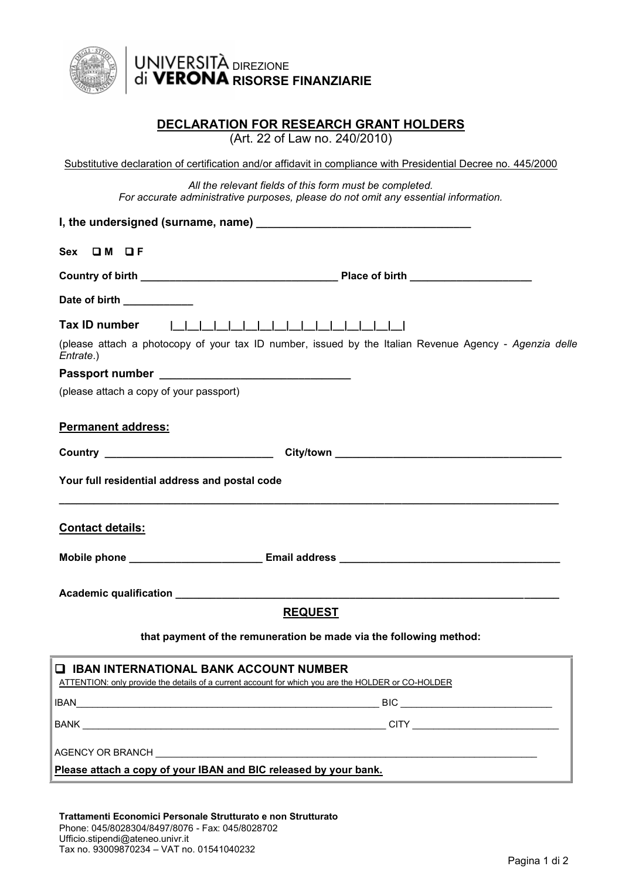

# DIREZIONE **RISORSE FINANZIARIE**

## **DECLARATION FOR RESEARCH GRANT HOLDERS**

(Art. 22 of Law no. 240/2010)

| Substitutive declaration of certification and/or affidavit in compliance with Presidential Decree no. 445/2000 |
|----------------------------------------------------------------------------------------------------------------|
| All the relevant fields of this form must be completed.                                                        |
| For accurate administrative purposes, please do not omit any essential information.                            |

| Sex OM OF                                                                                                                                             |
|-------------------------------------------------------------------------------------------------------------------------------------------------------|
|                                                                                                                                                       |
| Date of birth <b>expansion of the same of birth</b>                                                                                                   |
| Tax ID number                                                                                                                                         |
| (please attach a photocopy of your tax ID number, issued by the Italian Revenue Agency - Agenzia delle<br>Entrate.)                                   |
|                                                                                                                                                       |
| (please attach a copy of your passport)                                                                                                               |
| <b>Permanent address:</b>                                                                                                                             |
| Country Country City/town City/town City/town City/town City/town City/town City                                                                      |
| Your full residential address and postal code                                                                                                         |
| <b>Contact details:</b>                                                                                                                               |
|                                                                                                                                                       |
|                                                                                                                                                       |
| <b>REQUEST</b>                                                                                                                                        |
| that payment of the remuneration be made via the following method:                                                                                    |
| <b>Q IBAN INTERNATIONAL BANK ACCOUNT NUMBER</b><br>ATTENTION: only provide the details of a current account for which you are the HOLDER or CO-HOLDER |
|                                                                                                                                                       |
|                                                                                                                                                       |
| <b>AGENCY OR BRANCH</b>                                                                                                                               |

**Please attach a copy of your IBAN and BIC released by your bank.**